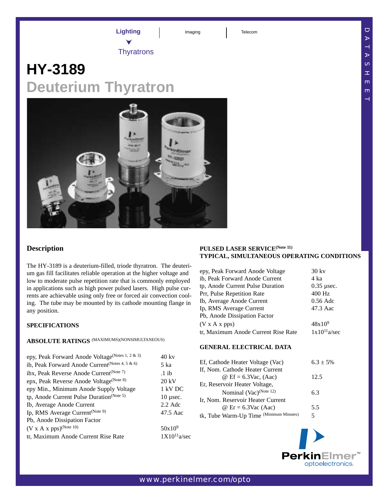**Lighting I** Imaging **I** Telecom

**Thyratrons** 

# **HY-3189 Deuterium Thyratron**



The HY-3189 is a deuterium-filled, triode thyratron. The deuterium gas fill facilitates reliable operation at the higher voltage and low to moderate pulse repetition rate that is commonly employed in applications such as high power pulsed lasers. High pulse currents are achievable using only free or forced air convection cooling. The tube may be mounted by its cathode mounting flange in any position.

## **SPECIFICATIONS**

# **ABSOLUTE RATINGS** (MAXIMUMS)(NONSIMULTANEOUS)

| epy, Peak Forward Anode Voltage(Notes 1, 2 & 3)                | $40 \text{ kv}$  |
|----------------------------------------------------------------|------------------|
| ib, Peak Forward Anode Current <sup>(Notes 4, 5 &amp; 6)</sup> | 5 ka             |
| ibx, Peak Reverse Anode Current <sup>(Note 7)</sup>            | $.1$ ib          |
| epx, Peak Reverse Anode Voltage(Note 8)                        | $20 \text{ kV}$  |
| epy Min., Minimum Anode Supply Voltage                         | 1 kV DC          |
| tp, Anode Current Pulse Duration(Note 5)                       | $10 \mu$ sec.    |
| Ib, Average Anode Current                                      | $2.2$ Adc        |
| Ip, RMS Average Current <sup>(Note 9)</sup>                    | 47.5 Aac         |
| Pb, Anode Dissipation Factor                                   |                  |
| $(V \times A \times pps)^{(Note 10)}$                          | $50x10^9$        |
| tr, Maximum Anode Current Rise Rate                            | $1X10^{11}a/sec$ |
|                                                                |                  |

## **PULSED LASER SERVICE(Note 11) TYPICAL, SIMULTANEOUS OPERATING CONDITIONS**

| epy, Peak Forward Anode Voltage     | $30$ kv          |
|-------------------------------------|------------------|
| ib, Peak Forward Anode Current      | 4 ka             |
| tp, Anode Current Pulse Duration    | $0.35$ usec.     |
| Prr, Pulse Repetition Rate          | 400 Hz           |
| Ib, Average Anode Current           | $0.56$ Adc       |
| Ip, RMS Average Current             | 47.3 Aac         |
| Pb, Anode Dissipation Factor        |                  |
| $(V \times A \times pps)$           | $48x10^{9}$      |
| tr, Maximum Anode Current Rise Rate | $1x10^{11}a/sec$ |

#### **GENERAL ELECTRICAL DATA**

| Ef, Cathode Heater Voltage (Vac)        | $6.3 \pm 5\%$ |
|-----------------------------------------|---------------|
| If, Nom. Cathode Heater Current         |               |
| $\omega$ Ef = 6.3Vac, (Aac)             | 12.5          |
| Er, Reservoir Heater Voltage,           |               |
| Nominal (Vac) <sup>(Note 12)</sup>      | 6.3           |
| Ir, Nom. Reservoir Heater Current       |               |
| $\omega$ Er = 6.3Vac (Aac)              | 5.5           |
| tk, Tube Warm-Up Time (Minimum Minutes) | 5             |



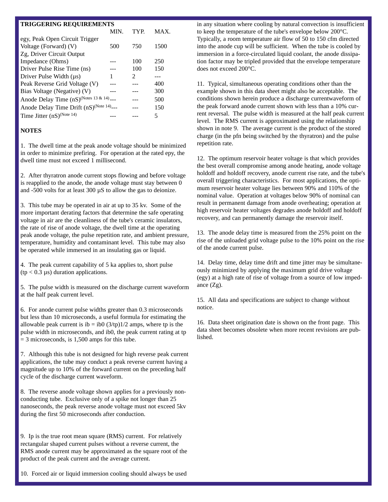#### **TRIGGERING REQUIREMENTS**

|                                                          | MIN. | <b>TYP</b> | <b>MAX</b> |
|----------------------------------------------------------|------|------------|------------|
| egy, Peak Open Circuit Trigger                           |      |            |            |
| Voltage (Forward) (V)                                    | 500  | 750        | 1500       |
| Zg, Driver Circuit Output                                |      |            |            |
| Impedance (Ohms)                                         |      | 100        | 250        |
| Driver Pulse Rise Time (ns)                              |      | 100        | 150        |
| Driver Pulse Width $(\mu s)$                             |      | 2          |            |
| Peak Reverse Grid Voltage (V)                            |      |            | 400        |
| Bias Voltage (Negative) (V)                              |      |            | 300        |
| Anode Delay Time (nS) <sup>(Notes 13 &amp; 14)</sup> --- |      |            | 500        |
| Anode Delay Time Drift (nS) <sup>(Note 14)</sup> ---     |      |            | 150        |
| Time Jitter $(nS)^{(Note 14)}$                           |      |            | 5          |
|                                                          |      |            |            |

#### **NOTES**

1. The dwell time at the peak anode voltage should be minimized in order to minimize prefiring. For operation at the rated epy, the dwell time must not exceed 1 millisecond.

2. After thyratron anode current stops flowing and before voltage is reapplied to the anode, the anode voltage must stay between 0 and -500 volts for at least 300 µS to allow the gas to deionize.

3. This tube may be operated in air at up to 35 kv. Some of the more important derating factors that determine the safe operating voltage in air are the cleanliness of the tube's ceramic insulators, the rate of rise of anode voltage, the dwell time at the operating peak anode voltage, the pulse repetition rate, and ambient pressure, temperature, humidity and contaminant level. This tube may also be operated while immersed in an insulating gas or liquid.

4. The peak current capability of 5 ka applies to, short pulse ( $tp < 0.3 \mu s$ ) duration applications.

5. The pulse width is measured on the discharge current waveform at the half peak current level.

6. For anode current pulse widths greater than 0.3 microseconds but less than 10 microseconds, a useful formula for estimating the allowable peak current is ib = ib0  $(3/tp)1/2$  amps, where tp is the pulse width in microseconds, and ib0, the peak current rating at tp  $=$  3 microseconds, is 1,500 amps for this tube.

7. Although this tube is not designed for high reverse peak current applications, the tube may conduct a peak reverse current having a magnitude up to 10% of the forward current on the preceding half cycle of the discharge current waveform.

8. The reverse anode voltage shown applies for a previously nonconducting tube. Exclusive only of a spike not longer than 25 nanoseconds, the peak reverse anode voltage must not exceed 5kv during the first 50 microseconds after conduction.

9. Ip is the true root mean square (RMS) current. For relatively rectangular shaped current pulses without a reverse current, the RMS anode current may be approximated as the square root of the product of the peak current and the average current.

10. Forced air or liquid immersion cooling should always be used

in any situation where cooling by natural convection is insufficient to keep the temperature of the tube's envelope below 200°C. Typically, a room temperature air flow of 50 to 150 cfm directed into the anode cup will be sufficient. When the tube is cooled by immersion in a force-circulated liquid coolant, the anode dissipation factor may be tripled provided that the envelope temperature does not exceed 200°C.

11. Typical, simultaneous operating conditions other than the example shown in this data sheet might also be acceptable. The conditions shown herein produce a discharge currentwaveform of the peak forward anode current shown with less than a 10% current reversal. The pulse width is measured at the half peak current level. The RMS current is approximated using the relationship shown in note 9. The average current is the product of the stored charge (in the pfn being switched by the thyratron) and the pulse repetition rate.

12. The optimum reservoir heater voltage is that which provides the best overall compromise among anode heating, anode voltage holdoff and holdoff recovery, anode current rise rate, and the tube's overall triggering characteristics. For most applications, the optimum reservoir heater voltage lies between 90% and 110% of the nominal value. Operation at voltages below 90% of nominal can result in permanent damage from anode overheating; operation at high reservoir heater voltages degrades anode holdoff and holdoff recovery, and can permanently damage the reservoir itself.

13. The anode delay time is measured from the 25% point on the rise of the unloaded grid voltage pulse to the 10% point on the rise of the anode current pulse.

14. Delay time, delay time drift and time jitter may be simultaneously minimized by applying the maximum grid drive voltage (egy) at a high rate of rise of voltage from a source of low impedance (Zg).

15. All data and specifications are subject to change without notice.

16. Data sheet origination date is shown on the front page. This data sheet becomes obsolete when more recent revisions are published.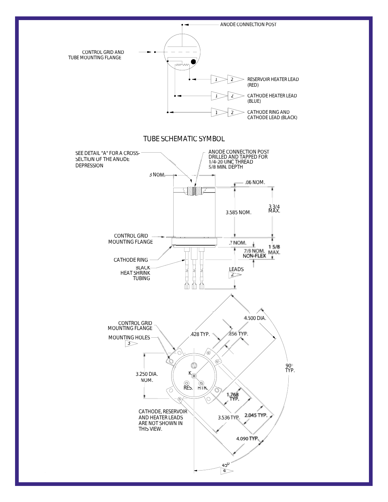